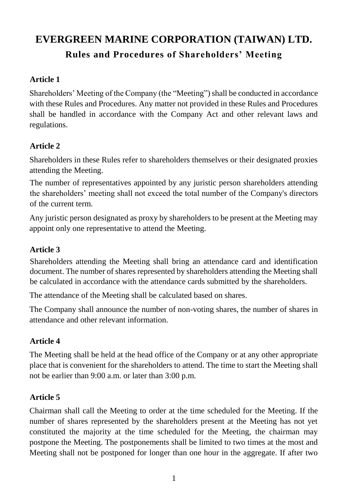# **EVERGREEN MARINE CORPORATION (TAIWAN) LTD. Rules and Procedures of Shareholders' Meeting**

## **Article 1**

Shareholders' Meeting of the Company (the "Meeting") shall be conducted in accordance with these Rules and Procedures. Any matter not provided in these Rules and Procedures shall be handled in accordance with the Company Act and other relevant laws and regulations.

## **Article 2**

Shareholders in these Rules refer to shareholders themselves or their designated proxies attending the Meeting.

The number of representatives appointed by any juristic person shareholders attending the shareholders' meeting shall not exceed the total number of the Company's directors of the current term.

Any juristic person designated as proxy by shareholders to be present at the Meeting may appoint only one representative to attend the Meeting.

#### **Article 3**

Shareholders attending the Meeting shall bring an attendance card and identification document. The number of shares represented by shareholders attending the Meeting shall be calculated in accordance with the attendance cards submitted by the shareholders.

The attendance of the Meeting shall be calculated based on shares.

The Company shall announce the number of non-voting shares, the number of shares in attendance and other relevant information.

#### **Article 4**

The Meeting shall be held at the head office of the Company or at any other appropriate place that is convenient for the shareholders to attend. The time to start the Meeting shall not be earlier than 9:00 a.m. or later than 3:00 p.m.

#### **Article 5**

Chairman shall call the Meeting to order at the time scheduled for the Meeting. If the number of shares represented by the shareholders present at the Meeting has not yet constituted the majority at the time scheduled for the Meeting, the chairman may postpone the Meeting. The postponements shall be limited to two times at the most and Meeting shall not be postponed for longer than one hour in the aggregate. If after two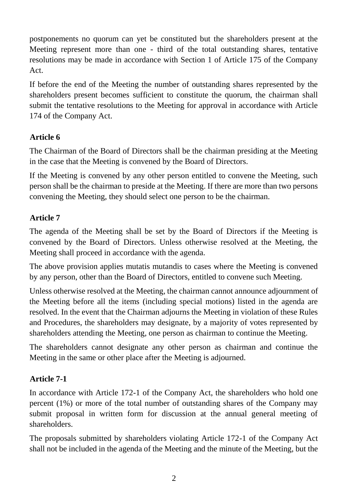postponements no quorum can yet be constituted but the shareholders present at the Meeting represent more than one - third of the total outstanding shares, tentative resolutions may be made in accordance with Section 1 of Article 175 of the Company Act.

If before the end of the Meeting the number of outstanding shares represented by the shareholders present becomes sufficient to constitute the quorum, the chairman shall submit the tentative resolutions to the Meeting for approval in accordance with Article 174 of the Company Act.

### **Article 6**

The Chairman of the Board of Directors shall be the chairman presiding at the Meeting in the case that the Meeting is convened by the Board of Directors.

If the Meeting is convened by any other person entitled to convene the Meeting, such person shall be the chairman to preside at the Meeting. If there are more than two persons convening the Meeting, they should select one person to be the chairman.

### **Article 7**

The agenda of the Meeting shall be set by the Board of Directors if the Meeting is convened by the Board of Directors. Unless otherwise resolved at the Meeting, the Meeting shall proceed in accordance with the agenda.

The above provision applies mutatis mutandis to cases where the Meeting is convened by any person, other than the Board of Directors, entitled to convene such Meeting.

Unless otherwise resolved at the Meeting, the chairman cannot announce adjournment of the Meeting before all the items (including special motions) listed in the agenda are resolved. In the event that the Chairman adjourns the Meeting in violation of these Rules and Procedures, the shareholders may designate, by a majority of votes represented by shareholders attending the Meeting, one person as chairman to continue the Meeting.

The shareholders cannot designate any other person as chairman and continue the Meeting in the same or other place after the Meeting is adjourned.

#### **Article 7-1**

In accordance with Article 172-1 of the Company Act, the shareholders who hold one percent (1%) or more of the total number of outstanding shares of the Company may submit proposal in written form for discussion at the annual general meeting of shareholders.

The proposals submitted by shareholders violating Article 172-1 of the Company Act shall not be included in the agenda of the Meeting and the minute of the Meeting, but the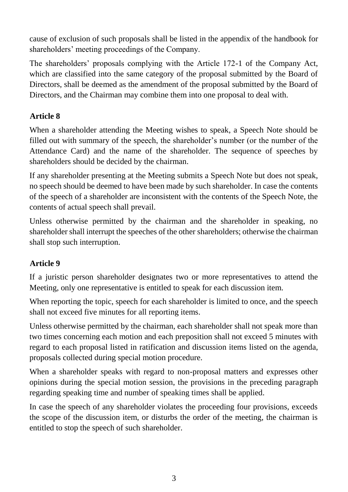cause of exclusion of such proposals shall be listed in the appendix of the handbook for shareholders' meeting proceedings of the Company.

The shareholders' proposals complying with the Article 172-1 of the Company Act, which are classified into the same category of the proposal submitted by the Board of Directors, shall be deemed as the amendment of the proposal submitted by the Board of Directors, and the Chairman may combine them into one proposal to deal with.

## **Article 8**

When a shareholder attending the Meeting wishes to speak, a Speech Note should be filled out with summary of the speech, the shareholder's number (or the number of the Attendance Card) and the name of the shareholder. The sequence of speeches by shareholders should be decided by the chairman.

If any shareholder presenting at the Meeting submits a Speech Note but does not speak, no speech should be deemed to have been made by such shareholder. In case the contents of the speech of a shareholder are inconsistent with the contents of the Speech Note, the contents of actual speech shall prevail.

Unless otherwise permitted by the chairman and the shareholder in speaking, no shareholder shall interrupt the speeches of the other shareholders; otherwise the chairman shall stop such interruption.

## **Article 9**

If a juristic person shareholder designates two or more representatives to attend the Meeting, only one representative is entitled to speak for each discussion item.

When reporting the topic, speech for each shareholder is limited to once, and the speech shall not exceed five minutes for all reporting items.

Unless otherwise permitted by the chairman, each shareholder shall not speak more than two times concerning each motion and each preposition shall not exceed 5 minutes with regard to each proposal listed in ratification and discussion items listed on the agenda, proposals collected during special motion procedure.

When a shareholder speaks with regard to non-proposal matters and expresses other opinions during the special motion session, the provisions in the preceding paragraph regarding speaking time and number of speaking times shall be applied.

In case the speech of any shareholder violates the proceeding four provisions, exceeds the scope of the discussion item, or disturbs the order of the meeting, the chairman is entitled to stop the speech of such shareholder.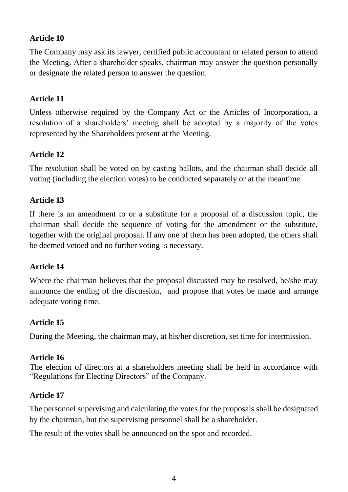### **Article 10**

The Company may ask its lawyer, certified public accountant or related person to attend the Meeting. After a shareholder speaks, chairman may answer the question personally or designate the related person to answer the question.

## **Article 11**

Unless otherwise required by the Company Act or the Articles of Incorporation, a resolution of a shareholders' meeting shall be adopted by a majority of the votes represented by the Shareholders present at the Meeting.

#### **Article 12**

The resolution shall be voted on by casting ballots, and the chairman shall decide all voting (including the election votes) to be conducted separately or at the meantime.

#### **Article 13**

If there is an amendment to or a substitute for a proposal of a discussion topic, the chairman shall decide the sequence of voting for the amendment or the substitute, together with the original proposal. If any one of them has been adopted, the others shall be deemed vetoed and no further voting is necessary.

#### **Article 14**

Where the chairman believes that the proposal discussed may be resolved, he/she may announce the ending of the discussion, and propose that votes be made and arrange adequate voting time.

#### **Article 15**

During the Meeting, the chairman may, at his/her discretion, set time for intermission.

#### **Article 16**

The election of directors at a shareholders meeting shall be held in accordance with "Regulations for Electing Directors" of the Company.

#### **Article 17**

The personnel supervising and calculating the votes for the proposals shall be designated by the chairman, but the supervising personnel shall be a shareholder.

The result of the votes shall be announced on the spot and recorded.